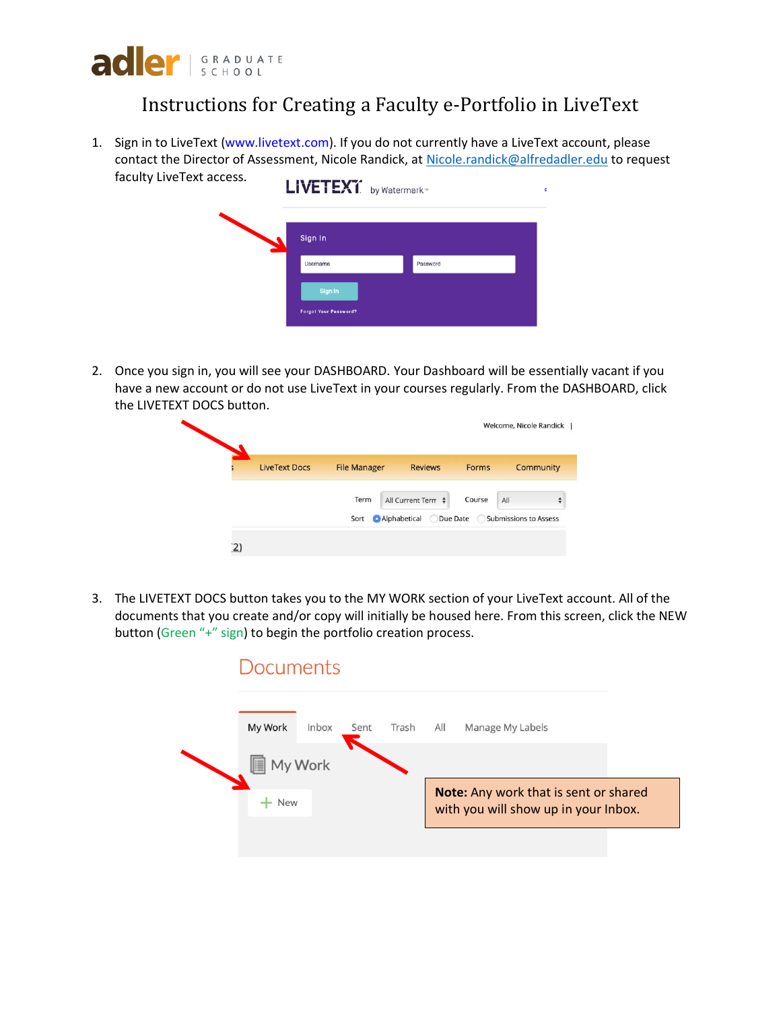

## Instructions for Creating a Faculty e-Portfolio in LiveText

1. Sign in to LiveText (www.livetext.com). If you do not currently have a LiveText account, please contact the Director of Assessment, Nicole Randick, at [Nicole.randick@alfredadler.edu](mailto:Nicole.randick@alfredadler.edu) to request faculty LiveText access.

| <br>LIVETEXT. by Watermark <sup>®</sup> |          |  |
|-----------------------------------------|----------|--|
| Sign In                                 |          |  |
| Username                                | Password |  |
| Sign In                                 |          |  |
| <b>Forgot Your Password?</b>            |          |  |

2. Once you sign in, you will see your DASHBOARD. Your Dashboard will be essentially vacant if you have a new account or do not use LiveText in your courses regularly. From the DASHBOARD, click the LIVETEXT DOCS button.

| <b>LiveText Docs</b> | <b>File Manager</b> | <b>Reviews</b>          | <b>Forms</b> | <b>Community</b>                   |
|----------------------|---------------------|-------------------------|--------------|------------------------------------|
|                      | Term                | All Current Term $\div$ | Course       | All                                |
|                      | Sort                | Alphabetical            |              | ◯ Due Date ◯ Submissions to Assess |

3. The LIVETEXT DOCS button takes you to the MY WORK section of your LiveText account. All of the documents that you create and/or copy will initially be housed here. From this screen, click the NEW button (Green "+" sign) to begin the portfolio creation process.

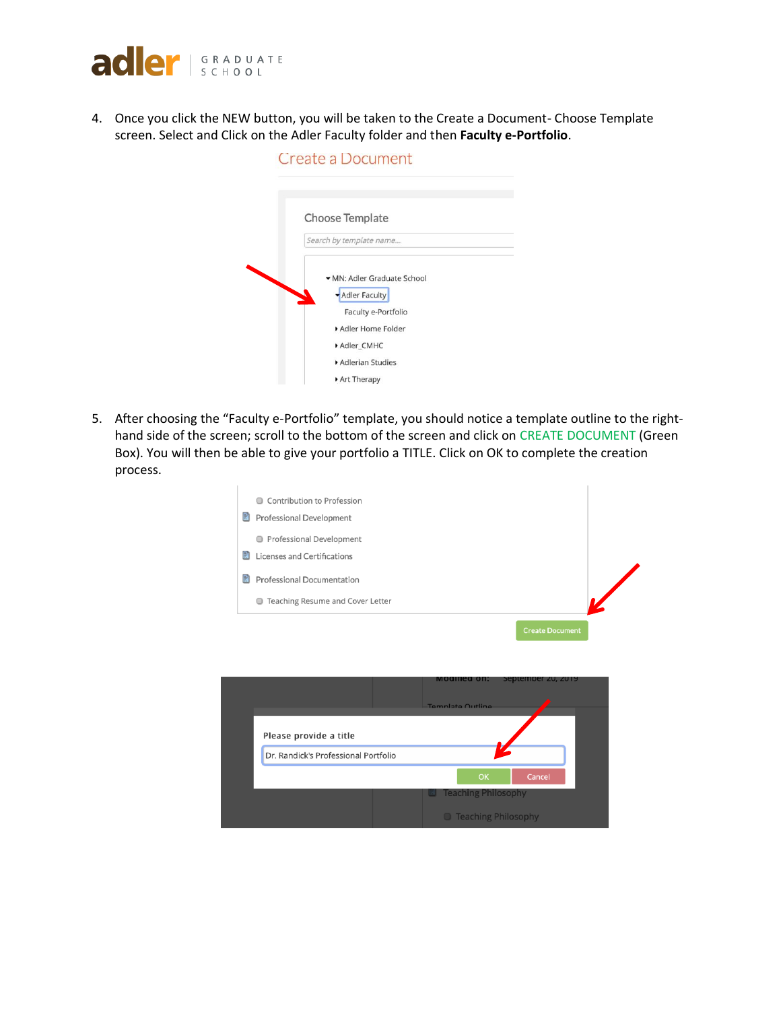

4. Once you click the NEW button, you will be taken to the Create a Document- Choose Template screen. Select and Click on the Adler Faculty folder and then **Faculty e-Portfolio**.

| Create a Document                                                                                                        |  |
|--------------------------------------------------------------------------------------------------------------------------|--|
| Choose Template<br>Search by template name                                                                               |  |
| MN: Adler Graduate School<br>Adler Faculty<br>Faculty e-Portfolio<br>Adler Home Folder<br>Adler CMHC<br>Adlerian Studies |  |
| Art Therapy                                                                                                              |  |

5. After choosing the "Faculty e-Portfolio" template, you should notice a template outline to the righthand side of the screen; scroll to the bottom of the screen and click on CREATE DOCUMENT (Green Box). You will then be able to give your portfolio a TITLE. Click on OK to complete the creation process.

|   | Contribution to Profession<br>⋒                |  |
|---|------------------------------------------------|--|
|   | 릙<br><b>Professional Development</b>           |  |
|   | Professional Development                       |  |
| 랡 | Licenses and Certifications                    |  |
| 랅 | <b>Professional Documentation</b>              |  |
|   | Teaching Resume and Cover Letter<br>$\bigcirc$ |  |
|   | <b>Create Document</b>                         |  |
|   |                                                |  |
|   |                                                |  |
|   | September 20, 2019<br><b>MOQITIEQ ON:</b>      |  |
|   | Template Outline                               |  |
|   | Please provide a title                         |  |



| <b>D</b> Teaching Philosophy |  |  |  |  |  |
|------------------------------|--|--|--|--|--|
|------------------------------|--|--|--|--|--|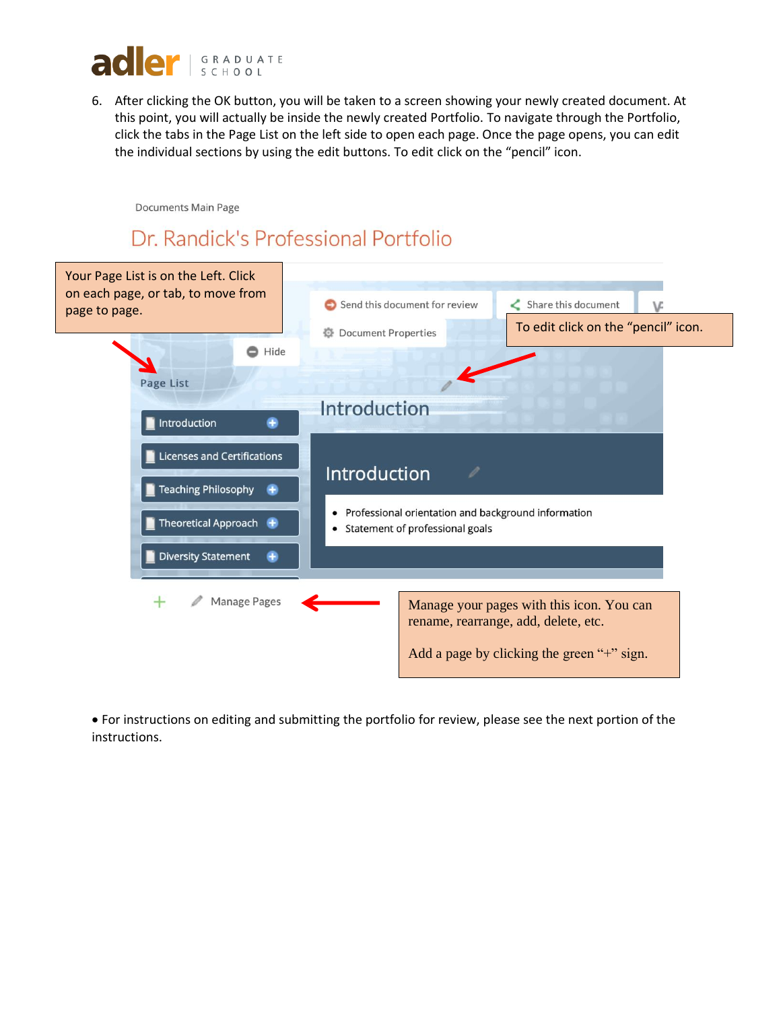

6. After clicking the OK button, you will be taken to a screen showing your newly created document. At this point, you will actually be inside the newly created Portfolio. To navigate through the Portfolio, click the tabs in the Page List on the left side to open each page. Once the page opens, you can edit the individual sections by using the edit buttons. To edit click on the "pencil" icon.

Documents Main Page

## Dr. Randick's Professional Portfolio



• For instructions on editing and submitting the portfolio for review, please see the next portion of the instructions.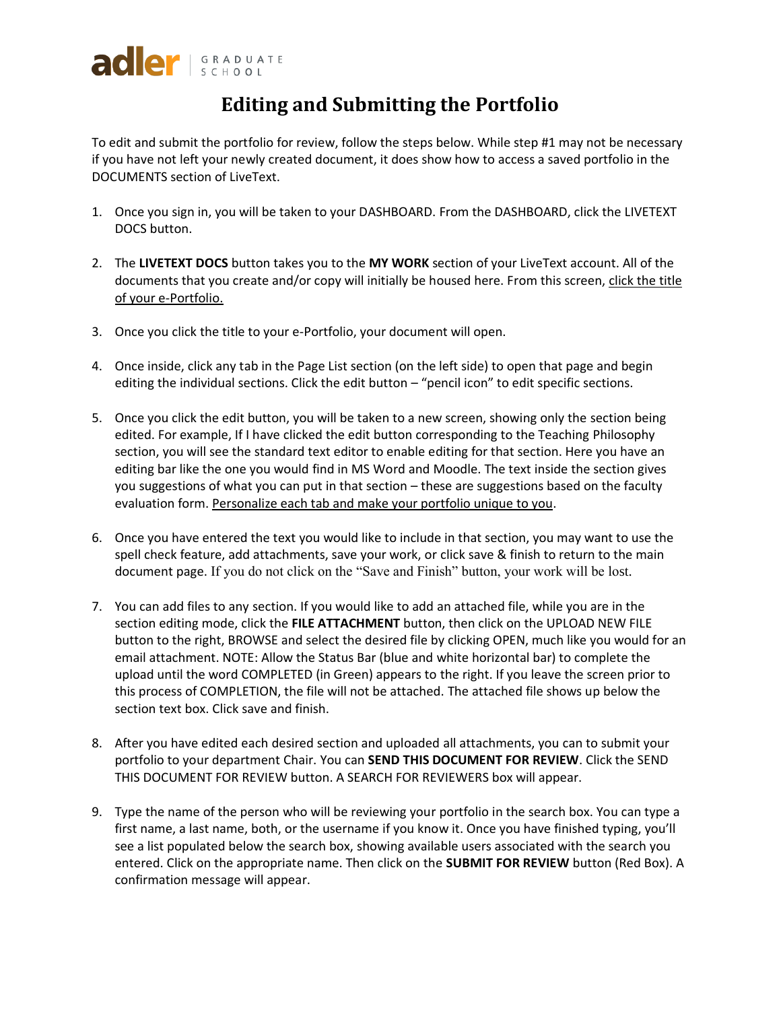## **Editing and Submitting the Portfolio**

To edit and submit the portfolio for review, follow the steps below. While step #1 may not be necessary if you have not left your newly created document, it does show how to access a saved portfolio in the DOCUMENTS section of LiveText.

- 1. Once you sign in, you will be taken to your DASHBOARD. From the DASHBOARD, click the LIVETEXT DOCS button.
- 2. The **LIVETEXT DOCS** button takes you to the **MY WORK** section of your LiveText account. All of the documents that you create and/or copy will initially be housed here. From this screen, click the title of your e-Portfolio.
- 3. Once you click the title to your e-Portfolio, your document will open.
- 4. Once inside, click any tab in the Page List section (on the left side) to open that page and begin editing the individual sections. Click the edit button – "pencil icon" to edit specific sections.
- 5. Once you click the edit button, you will be taken to a new screen, showing only the section being edited. For example, If I have clicked the edit button corresponding to the Teaching Philosophy section, you will see the standard text editor to enable editing for that section. Here you have an editing bar like the one you would find in MS Word and Moodle. The text inside the section gives you suggestions of what you can put in that section – these are suggestions based on the faculty evaluation form. Personalize each tab and make your portfolio unique to you.
- 6. Once you have entered the text you would like to include in that section, you may want to use the spell check feature, add attachments, save your work, or click save & finish to return to the main document page. If you do not click on the "Save and Finish" button, your work will be lost.
- 7. You can add files to any section. If you would like to add an attached file, while you are in the section editing mode, click the **FILE ATTACHMENT** button, then click on the UPLOAD NEW FILE button to the right, BROWSE and select the desired file by clicking OPEN, much like you would for an email attachment. NOTE: Allow the Status Bar (blue and white horizontal bar) to complete the upload until the word COMPLETED (in Green) appears to the right. If you leave the screen prior to this process of COMPLETION, the file will not be attached. The attached file shows up below the section text box. Click save and finish.
- 8. After you have edited each desired section and uploaded all attachments, you can to submit your portfolio to your department Chair. You can **SEND THIS DOCUMENT FOR REVIEW**. Click the SEND THIS DOCUMENT FOR REVIEW button. A SEARCH FOR REVIEWERS box will appear.
- 9. Type the name of the person who will be reviewing your portfolio in the search box. You can type a first name, a last name, both, or the username if you know it. Once you have finished typing, you'll see a list populated below the search box, showing available users associated with the search you entered. Click on the appropriate name. Then click on the **SUBMIT FOR REVIEW** button (Red Box). A confirmation message will appear.